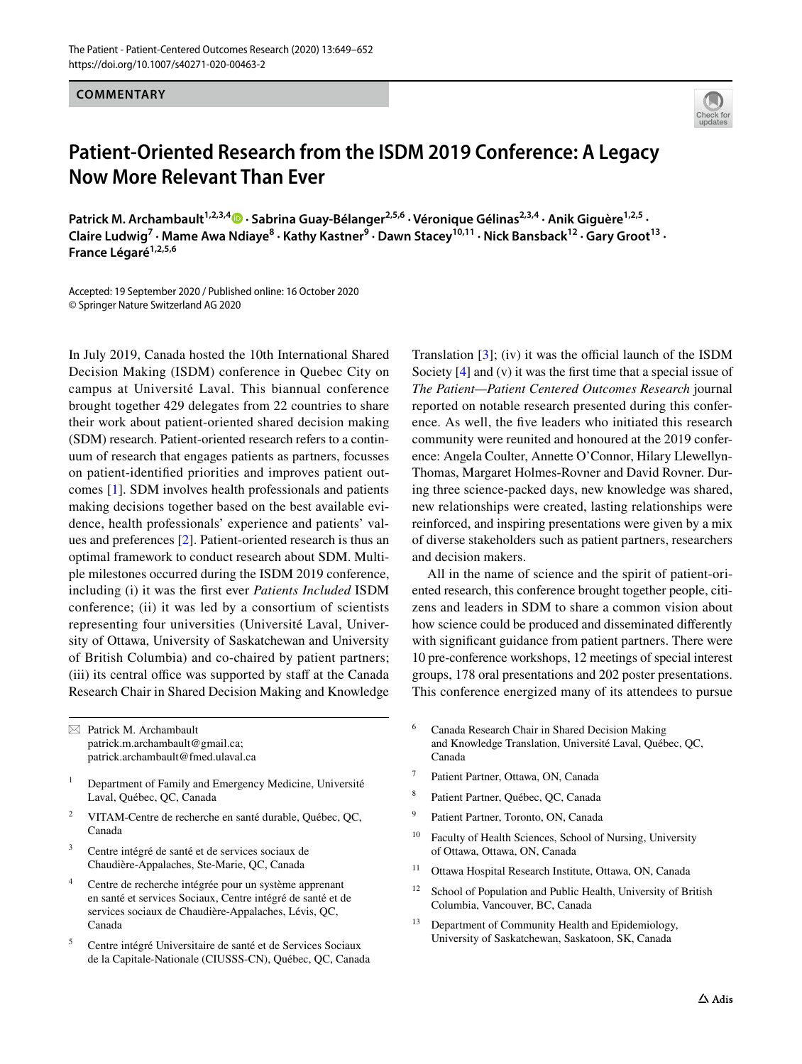## **COMMENTARY**



## **Patient‑Oriented Research from the ISDM 2019 Conference: A Legacy Now More Relevant Than Ever**

**PatrickM. Archambault**<sup>1,2,3,4</sup> • Sabrina Guay-Bélanger<sup>2,5,6</sup> · Véronique Gélinas<sup>2,3,4</sup> · Anik Giguère<sup>1,2,5</sup> · Claire Ludwig<sup>7</sup> · Mame Awa Ndiaye<sup>8</sup> · Kathy Kastner<sup>9</sup> · Dawn Stacey<sup>10,11</sup> · Nick Bansback<sup>12</sup> · Gary Groot<sup>13</sup> · **France Légaré1,2,5,6**

Accepted: 19 September 2020 / Published online: 16 October 2020 © Springer Nature Switzerland AG 2020

In July 2019, Canada hosted the 10th International Shared Decision Making (ISDM) conference in Quebec City on campus at Université Laval. This biannual conference brought together 429 delegates from 22 countries to share their work about patient-oriented shared decision making (SDM) research. Patient-oriented research refers to a continuum of research that engages patients as partners, focusses on patient-identifed priorities and improves patient outcomes [[1\]](#page-2-0). SDM involves health professionals and patients making decisions together based on the best available evidence, health professionals' experience and patients' values and preferences [\[2\]](#page-2-1). Patient-oriented research is thus an optimal framework to conduct research about SDM. Multiple milestones occurred during the ISDM 2019 conference, including (i) it was the frst ever *Patients Included* ISDM conference; (ii) it was led by a consortium of scientists representing four universities (Université Laval, University of Ottawa, University of Saskatchewan and University of British Columbia) and co-chaired by patient partners; (iii) its central office was supported by staff at the Canada Research Chair in Shared Decision Making and Knowledge

 $\boxtimes$  Patrick M. Archambault patrick.m.archambault@gmail.ca; patrick.archambault@fmed.ulaval.ca

- <sup>1</sup> Department of Family and Emergency Medicine, Université Laval, Québec, QC, Canada
- <sup>2</sup> VITAM-Centre de recherche en santé durable, Québec, QC, Canada
- <sup>3</sup> Centre intégré de santé et de services sociaux de Chaudière-Appalaches, Ste-Marie, QC, Canada
- <sup>4</sup> Centre de recherche intégrée pour un système apprenant en santé et services Sociaux, Centre intégré de santé et de services sociaux de Chaudière-Appalaches, Lévis, QC, Canada
- <sup>5</sup> Centre intégré Universitaire de santé et de Services Sociaux de la Capitale-Nationale (CIUSSS-CN), Québec, QC, Canada

Translation  $[3]$  $[3]$ ; (iv) it was the official launch of the ISDM Society [[4](#page-2-3)] and (v) it was the frst time that a special issue of *The Patient—Patient Centered Outcomes Research* journal reported on notable research presented during this conference. As well, the fve leaders who initiated this research community were reunited and honoured at the 2019 conference: Angela Coulter, Annette O'Connor, Hilary Llewellyn-Thomas, Margaret Holmes-Rovner and David Rovner. During three science-packed days, new knowledge was shared, new relationships were created, lasting relationships were reinforced, and inspiring presentations were given by a mix of diverse stakeholders such as patient partners, researchers and decision makers.

All in the name of science and the spirit of patient-oriented research, this conference brought together people, citizens and leaders in SDM to share a common vision about how science could be produced and disseminated diferently with significant guidance from patient partners. There were 10 pre-conference workshops, 12 meetings of special interest groups, 178 oral presentations and 202 poster presentations. This conference energized many of its attendees to pursue

- <sup>6</sup> Canada Research Chair in Shared Decision Making and Knowledge Translation, Université Laval, Québec, QC, Canada
- Patient Partner, Ottawa, ON, Canada
- <sup>8</sup> Patient Partner, Québec, QC, Canada
- <sup>9</sup> Patient Partner, Toronto, ON, Canada
- <sup>10</sup> Faculty of Health Sciences, School of Nursing, University of Ottawa, Ottawa, ON, Canada
- <sup>11</sup> Ottawa Hospital Research Institute, Ottawa, ON, Canada
- <sup>12</sup> School of Population and Public Health, University of British Columbia, Vancouver, BC, Canada
- <sup>13</sup> Department of Community Health and Epidemiology, University of Saskatchewan, Saskatoon, SK, Canada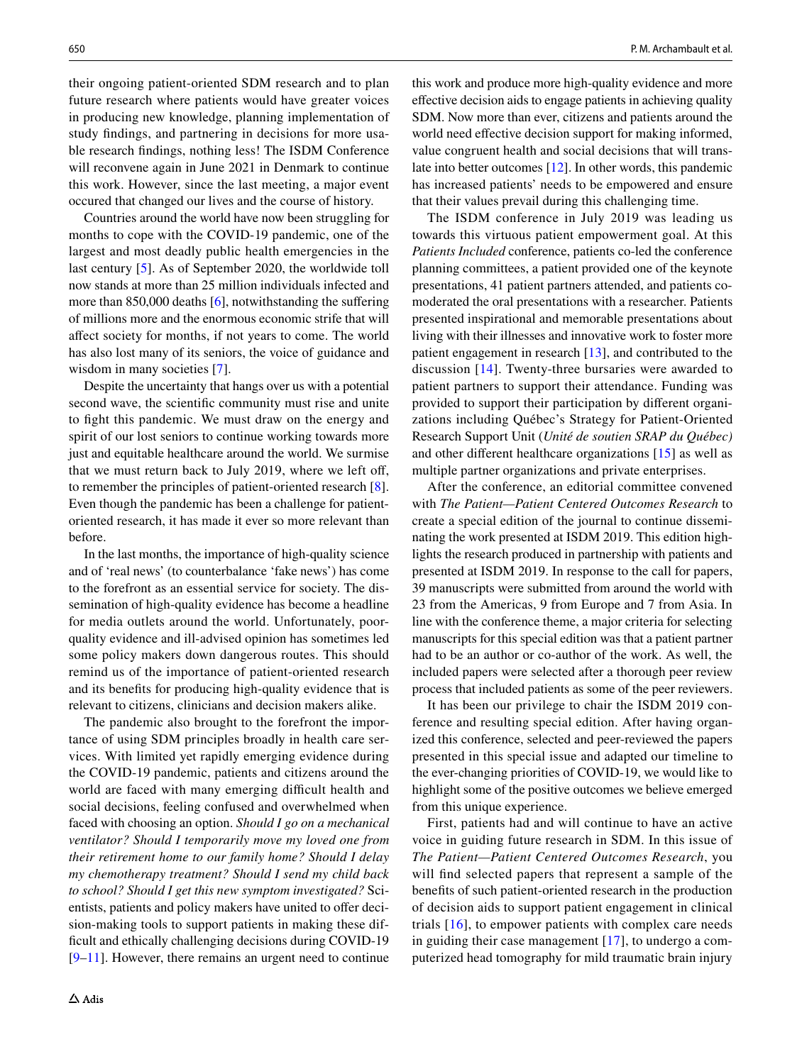their ongoing patient-oriented SDM research and to plan future research where patients would have greater voices in producing new knowledge, planning implementation of study fndings, and partnering in decisions for more usable research fndings, nothing less! The ISDM Conference will reconvene again in June 2021 in Denmark to continue this work. However, since the last meeting, a major event occured that changed our lives and the course of history.

Countries around the world have now been struggling for months to cope with the COVID-19 pandemic, one of the largest and most deadly public health emergencies in the last century [\[5\]](#page-2-4). As of September 2020, the worldwide toll now stands at more than 25 million individuals infected and more than  $850,000$  deaths  $[6]$  $[6]$ , notwithstanding the suffering of millions more and the enormous economic strife that will afect society for months, if not years to come. The world has also lost many of its seniors, the voice of guidance and wisdom in many societies [[7\]](#page-2-6).

Despite the uncertainty that hangs over us with a potential second wave, the scientifc community must rise and unite to fght this pandemic. We must draw on the energy and spirit of our lost seniors to continue working towards more just and equitable healthcare around the world. We surmise that we must return back to July 2019, where we left of, to remember the principles of patient-oriented research [\[8](#page-2-7)]. Even though the pandemic has been a challenge for patientoriented research, it has made it ever so more relevant than before.

In the last months, the importance of high-quality science and of 'real news' (to counterbalance 'fake news') has come to the forefront as an essential service for society. The dissemination of high-quality evidence has become a headline for media outlets around the world. Unfortunately, poorquality evidence and ill-advised opinion has sometimes led some policy makers down dangerous routes. This should remind us of the importance of patient-oriented research and its benefts for producing high-quality evidence that is relevant to citizens, clinicians and decision makers alike.

The pandemic also brought to the forefront the importance of using SDM principles broadly in health care services. With limited yet rapidly emerging evidence during the COVID-19 pandemic, patients and citizens around the world are faced with many emerging difficult health and social decisions, feeling confused and overwhelmed when faced with choosing an option. *Should I go on a mechanical ventilator? Should I temporarily move my loved one from their retirement home to our family home? Should I delay my chemotherapy treatment? Should I send my child back to school? Should I get this new symptom investigated?* Scientists, patients and policy makers have united to offer decision-making tools to support patients in making these diffcult and ethically challenging decisions during COVID-19 [\[9](#page-3-0)–[11\]](#page-3-1). However, there remains an urgent need to continue this work and produce more high-quality evidence and more efective decision aids to engage patients in achieving quality SDM. Now more than ever, citizens and patients around the world need effective decision support for making informed, value congruent health and social decisions that will translate into better outcomes [[12\]](#page-3-2). In other words, this pandemic has increased patients' needs to be empowered and ensure that their values prevail during this challenging time.

The ISDM conference in July 2019 was leading us towards this virtuous patient empowerment goal. At this *Patients Included* conference, patients co-led the conference planning committees, a patient provided one of the keynote presentations, 41 patient partners attended, and patients comoderated the oral presentations with a researcher. Patients presented inspirational and memorable presentations about living with their illnesses and innovative work to foster more patient engagement in research [\[13](#page-3-3)], and contributed to the discussion [\[14\]](#page-3-4). Twenty-three bursaries were awarded to patient partners to support their attendance. Funding was provided to support their participation by diferent organizations including Québec's Strategy for Patient-Oriented Research Support Unit (*Unité de soutien SRAP du Québec)* and other diferent healthcare organizations [[15\]](#page-3-5) as well as multiple partner organizations and private enterprises.

After the conference, an editorial committee convened with *The Patient—Patient Centered Outcomes Research* to create a special edition of the journal to continue disseminating the work presented at ISDM 2019. This edition highlights the research produced in partnership with patients and presented at ISDM 2019. In response to the call for papers, 39 manuscripts were submitted from around the world with 23 from the Americas, 9 from Europe and 7 from Asia. In line with the conference theme, a major criteria for selecting manuscripts for this special edition was that a patient partner had to be an author or co-author of the work. As well, the included papers were selected after a thorough peer review process that included patients as some of the peer reviewers.

It has been our privilege to chair the ISDM 2019 conference and resulting special edition. After having organized this conference, selected and peer-reviewed the papers presented in this special issue and adapted our timeline to the ever-changing priorities of COVID-19, we would like to highlight some of the positive outcomes we believe emerged from this unique experience.

First, patients had and will continue to have an active voice in guiding future research in SDM. In this issue of *The Patient—Patient Centered Outcomes Research*, you will fnd selected papers that represent a sample of the benefts of such patient-oriented research in the production of decision aids to support patient engagement in clinical trials [[16](#page-3-6)], to empower patients with complex care needs in guiding their case management  $[17]$  $[17]$  $[17]$ , to undergo a computerized head tomography for mild traumatic brain injury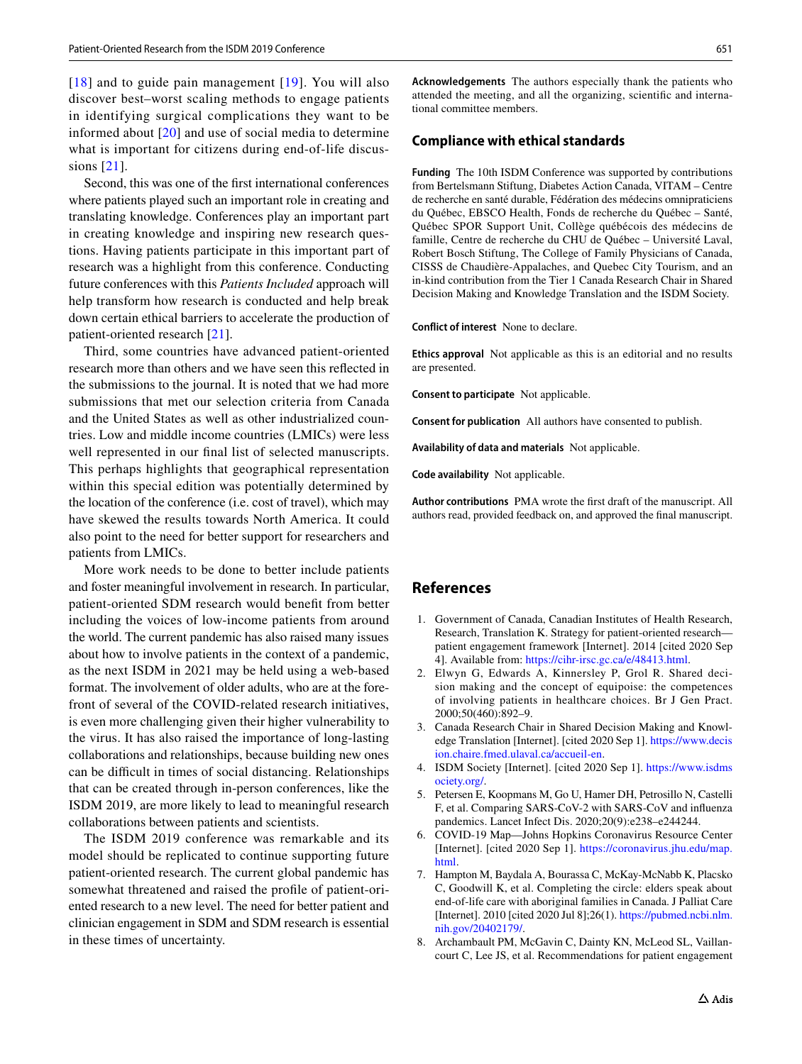$[18]$  $[18]$  $[18]$  and to guide pain management  $[19]$ . You will also discover best–worst scaling methods to engage patients in identifying surgical complications they want to be informed about [[20](#page-3-10)] and use of social media to determine what is important for citizens during end-of-life discus-sions [[21](#page-3-11)].

Second, this was one of the frst international conferences where patients played such an important role in creating and translating knowledge. Conferences play an important part in creating knowledge and inspiring new research questions. Having patients participate in this important part of research was a highlight from this conference. Conducting future conferences with this *Patients Included* approach will help transform how research is conducted and help break down certain ethical barriers to accelerate the production of patient-oriented research [\[21](#page-3-11)].

Third, some countries have advanced patient-oriented research more than others and we have seen this refected in the submissions to the journal. It is noted that we had more submissions that met our selection criteria from Canada and the United States as well as other industrialized countries. Low and middle income countries (LMICs) were less well represented in our fnal list of selected manuscripts. This perhaps highlights that geographical representation within this special edition was potentially determined by the location of the conference (i.e. cost of travel), which may have skewed the results towards North America. It could also point to the need for better support for researchers and patients from LMICs.

More work needs to be done to better include patients and foster meaningful involvement in research. In particular, patient-oriented SDM research would beneft from better including the voices of low-income patients from around the world. The current pandemic has also raised many issues about how to involve patients in the context of a pandemic, as the next ISDM in 2021 may be held using a web-based format. The involvement of older adults, who are at the forefront of several of the COVID-related research initiatives, is even more challenging given their higher vulnerability to the virus. It has also raised the importance of long-lasting collaborations and relationships, because building new ones can be difficult in times of social distancing. Relationships that can be created through in-person conferences, like the ISDM 2019, are more likely to lead to meaningful research collaborations between patients and scientists.

The ISDM 2019 conference was remarkable and its model should be replicated to continue supporting future patient-oriented research. The current global pandemic has somewhat threatened and raised the profle of patient-oriented research to a new level. The need for better patient and clinician engagement in SDM and SDM research is essential in these times of uncertainty.

**Acknowledgements** The authors especially thank the patients who attended the meeting, and all the organizing, scientifc and international committee members.

## **Compliance with ethical standards**

**Funding** The 10th ISDM Conference was supported by contributions from Bertelsmann Stiftung, Diabetes Action Canada, VITAM – Centre de recherche en santé durable, Fédération des médecins omnipraticiens du Québec, EBSCO Health, Fonds de recherche du Québec – Santé, Québec SPOR Support Unit, Collège québécois des médecins de famille, Centre de recherche du CHU de Québec – Université Laval, Robert Bosch Stiftung, The College of Family Physicians of Canada, CISSS de Chaudière-Appalaches, and Quebec City Tourism, and an in-kind contribution from the Tier 1 Canada Research Chair in Shared Decision Making and Knowledge Translation and the ISDM Society.

**Conflict of interest** None to declare.

**Ethics approval** Not applicable as this is an editorial and no results are presented.

**Consent to participate** Not applicable.

**Consent for publication** All authors have consented to publish.

**Availability of data and materials** Not applicable.

**Code availability** Not applicable.

**Author contributions** PMA wrote the frst draft of the manuscript. All authors read, provided feedback on, and approved the fnal manuscript.

## **References**

- <span id="page-2-0"></span>1. Government of Canada, Canadian Institutes of Health Research, Research, Translation K. Strategy for patient-oriented research patient engagement framework [Internet]. 2014 [cited 2020 Sep 4]. Available from: [https://cihr-irsc.gc.ca/e/48413.html.](https://cihr-irsc.gc.ca/e/48413.html)
- <span id="page-2-1"></span>2. Elwyn G, Edwards A, Kinnersley P, Grol R. Shared decision making and the concept of equipoise: the competences of involving patients in healthcare choices. Br J Gen Pract. 2000;50(460):892–9.
- <span id="page-2-2"></span>3. Canada Research Chair in Shared Decision Making and Knowledge Translation [Internet]. [cited 2020 Sep 1]. [https://www.decis](http://www.decision.chaire.fmed.ulaval.ca/accueil-en) [ion.chaire.fmed.ulaval.ca/accueil-en](http://www.decision.chaire.fmed.ulaval.ca/accueil-en).
- <span id="page-2-3"></span>4. ISDM Society [Internet]. [cited 2020 Sep 1]. [https://www.isdms](http://www.isdmsociety.org/) [ociety.org/](http://www.isdmsociety.org/).
- <span id="page-2-4"></span>5. Petersen E, Koopmans M, Go U, Hamer DH, Petrosillo N, Castelli F, et al. Comparing SARS-CoV-2 with SARS-CoV and infuenza pandemics. Lancet Infect Dis. 2020;20(9):e238–e244244.
- <span id="page-2-5"></span>6. COVID-19 Map—Johns Hopkins Coronavirus Resource Center [Internet]. [cited 2020 Sep 1]. [https://coronavirus.jhu.edu/map.](https://coronavirus.jhu.edu/map.html) [html.](https://coronavirus.jhu.edu/map.html)
- <span id="page-2-6"></span>7. Hampton M, Baydala A, Bourassa C, McKay-McNabb K, Placsko C, Goodwill K, et al. Completing the circle: elders speak about end-of-life care with aboriginal families in Canada. J Palliat Care [Internet]. 2010 [cited 2020 Jul 8];26(1). [https://pubmed.ncbi.nlm.](https://pubmed.ncbi.nlm.nih.gov/20402179/) [nih.gov/20402179/](https://pubmed.ncbi.nlm.nih.gov/20402179/).
- <span id="page-2-7"></span>Archambault PM, McGavin C, Dainty KN, McLeod SL, Vaillancourt C, Lee JS, et al. Recommendations for patient engagement